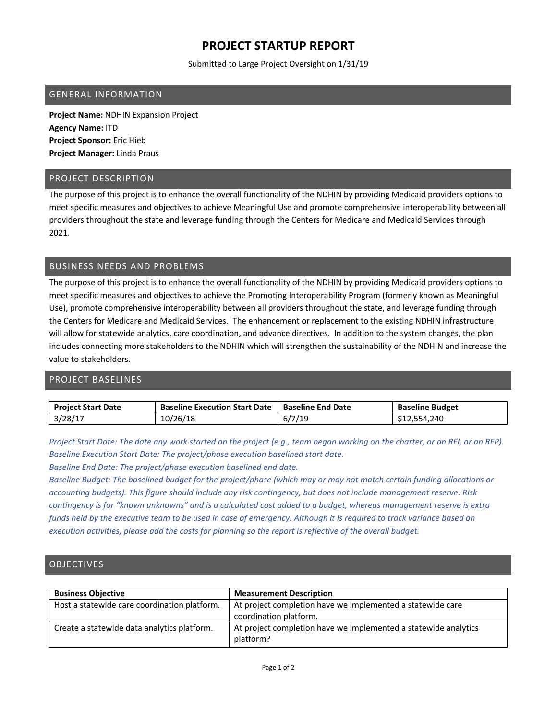# **PROJECT STARTUP REPORT**

Submitted to Large Project Oversight on 1/31/19

#### GENERAL INFORMATION

**Project Name:** NDHIN Expansion Project **Agency Name:** ITD **Project Sponsor:** Eric Hieb **Project Manager:** Linda Praus

### PROJECT DESCRIPTION

The purpose of this project is to enhance the overall functionality of the NDHIN by providing Medicaid providers options to meet specific measures and objectives to achieve Meaningful Use and promote comprehensive interoperability between all providers throughout the state and leverage funding through the Centers for Medicare and Medicaid Services through 2021.

## BUSINESS NEEDS AND PROBLEMS

The purpose of this project is to enhance the overall functionality of the NDHIN by providing Medicaid providers options to meet specific measures and objectives to achieve the Promoting Interoperability Program (formerly known as Meaningful Use), promote comprehensive interoperability between all providers throughout the state, and leverage funding through the Centers for Medicare and Medicaid Services. The enhancement or replacement to the existing NDHIN infrastructure will allow for statewide analytics, care coordination, and advance directives. In addition to the system changes, the plan includes connecting more stakeholders to the NDHIN which will strengthen the sustainability of the NDHIN and increase the value to stakeholders.

## PROJECT BASELINES

| <b>Project Start Date</b> | <b>Baseline Execution Start Date</b> | <b>Baseline End Date</b> | <b>Baseline Budget</b> |
|---------------------------|--------------------------------------|--------------------------|------------------------|
| 3/28/17                   | 10/26/18                             | 6/7/19                   | 554.240.               |

Project Start Date: The date any work started on the project (e.g., team began working on the charter, or an RFI, or an RFP). *Baseline Execution Start Date: The project/phase execution baselined start date.*

*Baseline End Date: The project/phase execution baselined end date.*

Baseline Budget: The baselined budget for the project/phase (which may or may not match certain funding allocations or accounting budgets). This figure should include any risk contingency, but does not include management reserve. Risk contingency is for "known unknowns" and is a calculated cost added to a budget, whereas management reserve is extra funds held by the executive team to be used in case of emergency. Although it is required to track variance based on execution activities, please add the costs for planning so the report is reflective of the overall budget.

## **OBJECTIVES**

| <b>Business Objective</b>                    | <b>Measurement Description</b>                                                       |
|----------------------------------------------|--------------------------------------------------------------------------------------|
| Host a statewide care coordination platform. | At project completion have we implemented a statewide care<br>coordination platform. |
| Create a statewide data analytics platform.  | At project completion have we implemented a statewide analytics<br>platform?         |